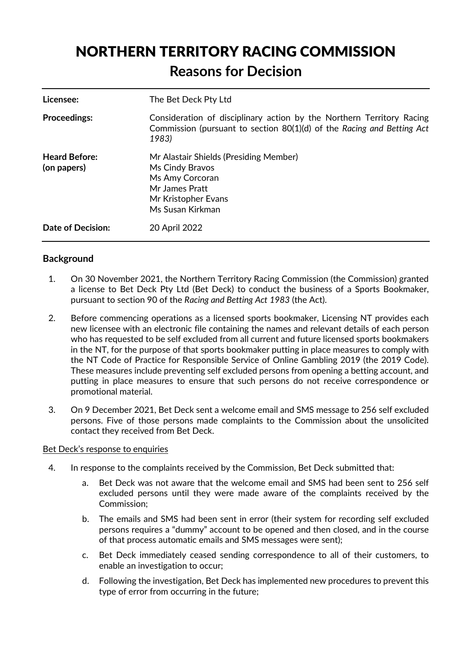# NORTHERN TERRITORY RACING COMMISSION **Reasons for Decision**

| Licensee:                           | The Bet Deck Pty Ltd                                                                                                                                     |
|-------------------------------------|----------------------------------------------------------------------------------------------------------------------------------------------------------|
| <b>Proceedings:</b>                 | Consideration of disciplinary action by the Northern Territory Racing<br>Commission (pursuant to section 80(1)(d) of the Racing and Betting Act<br>1983) |
| <b>Heard Before:</b><br>(on papers) | Mr Alastair Shields (Presiding Member)<br>Ms Cindy Bravos<br>Ms Amy Corcoran<br>Mr James Pratt<br>Mr Kristopher Evans<br>Ms Susan Kirkman                |
| <b>Date of Decision:</b>            | 20 April 2022                                                                                                                                            |

# **Background**

- 1. On 30 November 2021, the Northern Territory Racing Commission (the Commission) granted a license to Bet Deck Pty Ltd (Bet Deck) to conduct the business of a Sports Bookmaker, pursuant to section 90 of the *Racing and Betting Act 1983* (the Act).
- 2. Before commencing operations as a licensed sports bookmaker, Licensing NT provides each new licensee with an electronic file containing the names and relevant details of each person who has requested to be self excluded from all current and future licensed sports bookmakers in the NT, for the purpose of that sports bookmaker putting in place measures to comply with the NT Code of Practice for Responsible Service of Online Gambling 2019 (the 2019 Code). These measures include preventing self excluded persons from opening a betting account, and putting in place measures to ensure that such persons do not receive correspondence or promotional material.
- 3. On 9 December 2021, Bet Deck sent a welcome email and SMS message to 256 self excluded persons. Five of those persons made complaints to the Commission about the unsolicited contact they received from Bet Deck.

#### Bet Deck's response to enquiries

- 4. In response to the complaints received by the Commission, Bet Deck submitted that:
	- a. Bet Deck was not aware that the welcome email and SMS had been sent to 256 self excluded persons until they were made aware of the complaints received by the Commission;
	- b. The emails and SMS had been sent in error (their system for recording self excluded persons requires a "dummy" account to be opened and then closed, and in the course of that process automatic emails and SMS messages were sent);
	- c. Bet Deck immediately ceased sending correspondence to all of their customers, to enable an investigation to occur;
	- d. Following the investigation, Bet Deck has implemented new procedures to prevent this type of error from occurring in the future;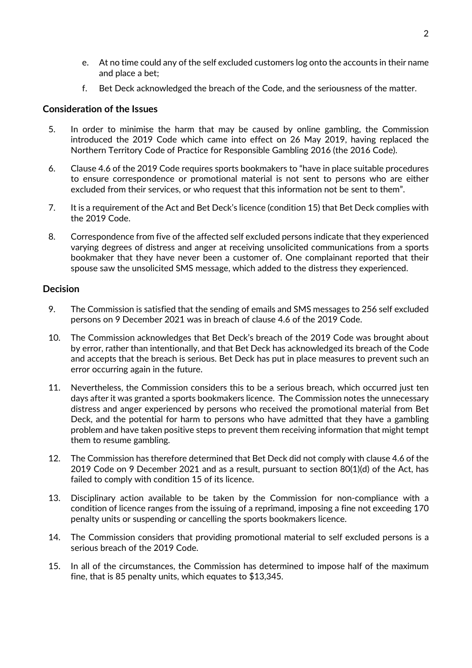- e. At no time could any of the self excluded customers log onto the accounts in their name and place a bet;
- f. Bet Deck acknowledged the breach of the Code, and the seriousness of the matter.

## **Consideration of the Issues**

- 5. In order to minimise the harm that may be caused by online gambling, the Commission introduced the 2019 Code which came into effect on 26 May 2019, having replaced the Northern Territory Code of Practice for Responsible Gambling 2016 (the 2016 Code).
- 6. Clause 4.6 of the 2019 Code requires sports bookmakers to "have in place suitable procedures to ensure correspondence or promotional material is not sent to persons who are either excluded from their services, or who request that this information not be sent to them".
- 7. It is a requirement of the Act and Bet Deck's licence (condition 15) that Bet Deck complies with the 2019 Code.
- 8. Correspondence from five of the affected self excluded persons indicate that they experienced varying degrees of distress and anger at receiving unsolicited communications from a sports bookmaker that they have never been a customer of. One complainant reported that their spouse saw the unsolicited SMS message, which added to the distress they experienced.

## **Decision**

- 9. The Commission is satisfied that the sending of emails and SMS messages to 256 self excluded persons on 9 December 2021 was in breach of clause 4.6 of the 2019 Code.
- 10. The Commission acknowledges that Bet Deck's breach of the 2019 Code was brought about by error, rather than intentionally, and that Bet Deck has acknowledged its breach of the Code and accepts that the breach is serious. Bet Deck has put in place measures to prevent such an error occurring again in the future.
- 11. Nevertheless, the Commission considers this to be a serious breach, which occurred just ten days after it was granted a sports bookmakers licence. The Commission notes the unnecessary distress and anger experienced by persons who received the promotional material from Bet Deck, and the potential for harm to persons who have admitted that they have a gambling problem and have taken positive steps to prevent them receiving information that might tempt them to resume gambling.
- 12. The Commission has therefore determined that Bet Deck did not comply with clause 4.6 of the 2019 Code on 9 December 2021 and as a result, pursuant to section 80(1)(d) of the Act, has failed to comply with condition 15 of its licence.
- 13. Disciplinary action available to be taken by the Commission for non-compliance with a condition of licence ranges from the issuing of a reprimand, imposing a fine not exceeding 170 penalty units or suspending or cancelling the sports bookmakers licence.
- 14. The Commission considers that providing promotional material to self excluded persons is a serious breach of the 2019 Code.
- 15. In all of the circumstances, the Commission has determined to impose half of the maximum fine, that is 85 penalty units, which equates to \$13,345.